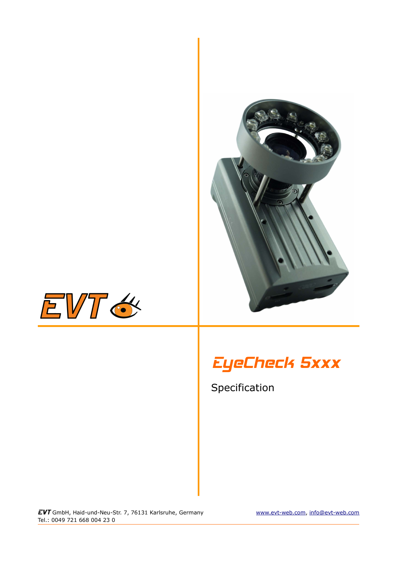



# EyeCheck 5xxx

Specification

EVT GmbH, Haid-und-Neu-Str. 7, 76131 Karlsruhe, Germany [www.evt-web.com,](http://www.evt-web.com/) [info@evt-web.com](mailto:info@evt-web.com) Tel.: 0049 721 668 004 23 0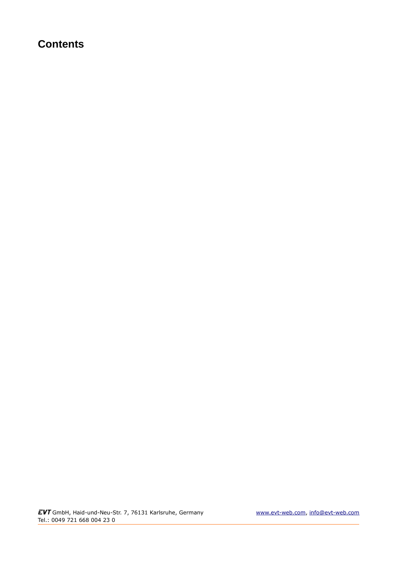# **Contents**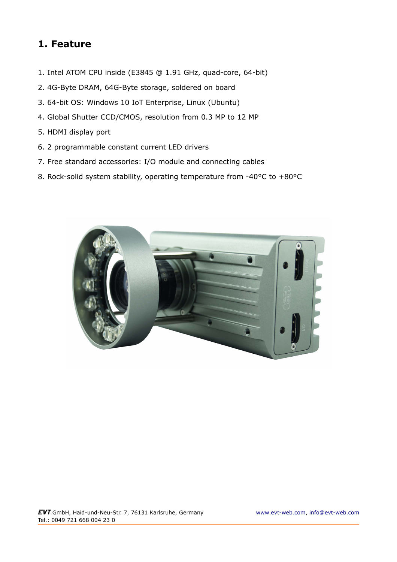### **1. Feature**

- 1. Intel ATOM CPU inside (E3845 @ 1.91 GHz, quad-core, 64-bit)
- 2. 4G-Byte DRAM, 64G-Byte storage, soldered on board
- 3. 64-bit OS: Windows 10 IoT Enterprise, Linux (Ubuntu)
- 4. Global Shutter CCD/CMOS, resolution from 0.3 MP to 12 MP
- 5. HDMI display port
- 6. 2 programmable constant current LED drivers
- 7. Free standard accessories: I/O module and connecting cables
- 8. Rock-solid system stability, operating temperature from -40°C to +80°C

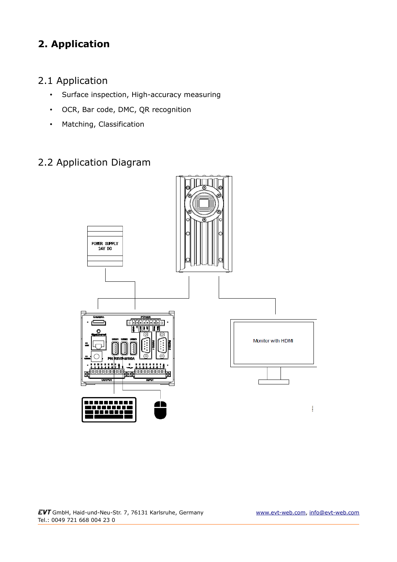# **2. Application**

### 2.1 Application

- Surface inspection, High-accuracy measuring
- OCR, Bar code, DMC, QR recognition
- Matching, Classification

### 2.2 Application Diagram

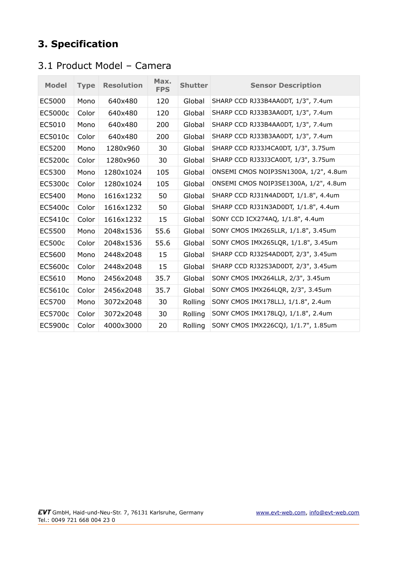# **3. Specification**

### 3.1 Product Model – Camera

| <b>Model</b>  | <b>Type</b> | <b>Resolution</b> | Max.<br><b>FPS</b> | <b>Shutter</b> | <b>Sensor Description</b>             |
|---------------|-------------|-------------------|--------------------|----------------|---------------------------------------|
| EC5000        | Mono        | 640x480           | 120                | Global         | SHARP CCD RJ33B4AA0DT, 1/3", 7.4um    |
| EC5000c       | Color       | 640x480           | 120                | Global         | SHARP CCD RJ33B3AA0DT, 1/3", 7.4um    |
| EC5010        | Mono        | 640x480           | 200                | Global         | SHARP CCD RJ33B4AA0DT, 1/3", 7.4um    |
| EC5010c       | Color       | 640x480           | 200                | Global         | SHARP CCD RJ33B3AA0DT, 1/3", 7.4um    |
| EC5200        | Mono        | 1280x960          | 30                 | Global         | SHARP CCD RJ33J4CA0DT, 1/3", 3.75um   |
| EC5200c       | Color       | 1280x960          | 30                 | Global         | SHARP CCD RJ33J3CA0DT, 1/3", 3.75um   |
| EC5300        | Mono        | 1280x1024         | 105                | Global         | ONSEMI CMOS NOIP3SN1300A, 1/2", 4.8um |
| EC5300c       | Color       | 1280x1024         | 105                | Global         | ONSEMI CMOS NOIP3SE1300A, 1/2", 4.8um |
| EC5400        | Mono        | 1616x1232         | 50                 | Global         | SHARP CCD RJ31N4AD0DT, 1/1.8", 4.4um  |
| EC5400c       | Color       | 1616x1232         | 50                 | Global         | SHARP CCD RJ31N3AD0DT, 1/1.8", 4.4um  |
| EC5410c       | Color       | 1616x1232         | 15                 | Global         | SONY CCD ICX274AQ, 1/1.8", 4.4um      |
| EC5500        | Mono        | 2048x1536         | 55.6               | Global         | SONY CMOS IMX265LLR, 1/1.8", 3.45um   |
| <b>EC500c</b> | Color       | 2048x1536         | 55.6               | Global         | SONY CMOS IMX265LQR, 1/1.8", 3.45um   |
| EC5600        | Mono        | 2448x2048         | 15                 | Global         | SHARP CCD RJ32S4AD0DT, 2/3", 3.45um   |
| EC5600c       | Color       | 2448x2048         | 15                 | Global         | SHARP CCD RJ32S3AD0DT, 2/3", 3.45um   |
| EC5610        | Mono        | 2456x2048         | 35.7               | Global         | SONY CMOS IMX264LLR, 2/3", 3.45um     |
| EC5610c       | Color       | 2456x2048         | 35.7               | Global         | SONY CMOS IMX264LQR, 2/3", 3.45um     |
| EC5700        | Mono        | 3072x2048         | 30                 | Rolling        | SONY CMOS IMX178LLJ, 1/1.8", 2.4um    |
| EC5700c       | Color       | 3072x2048         | 30                 | Rolling        | SONY CMOS IMX178LQJ, 1/1.8", 2.4um    |
| EC5900c       | Color       | 4000x3000         | 20                 | Rolling        | SONY CMOS IMX226CQJ, 1/1.7", 1.85um   |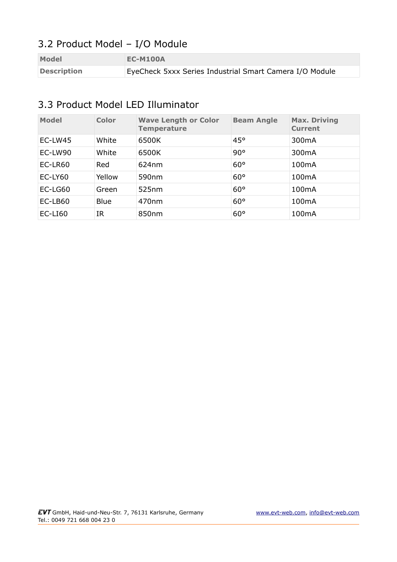# 3.2 Product Model – I/O Module

| <b>Model</b>       | <b>EC-M100A</b>                                         |
|--------------------|---------------------------------------------------------|
| <b>Description</b> | EyeCheck 5xxx Series Industrial Smart Camera I/O Module |

#### 3.3 Product Model LED Illuminator

| <b>Model</b> | <b>Color</b> | <b>Wave Length or Color</b><br><b>Temperature</b> | <b>Beam Angle</b> | <b>Max. Driving</b><br><b>Current</b> |
|--------------|--------------|---------------------------------------------------|-------------------|---------------------------------------|
| EC-LW45      | White        | 6500K                                             | 45°               | 300 <sub>m</sub> A                    |
| EC-LW90      | White        | 6500K                                             | 90°               | 300mA                                 |
| EC-LR60      | Red          | 624nm                                             | $60^\circ$        | 100 <sub>m</sub> A                    |
| $EC$ -LY60   | Yellow       | 590 <sub>nm</sub>                                 | $60^{\circ}$      | 100 <sub>m</sub> A                    |
| EC-LG60      | Green        | 525nm                                             | $60^{\circ}$      | 100 <sub>m</sub> A                    |
| EC-LB60      | <b>Blue</b>  | 470 <sub>nm</sub>                                 | $60^\circ$        | 100 <sub>m</sub> A                    |
| $EC-LI60$    | IR           | 850nm                                             | $60^{\circ}$      | 100mA                                 |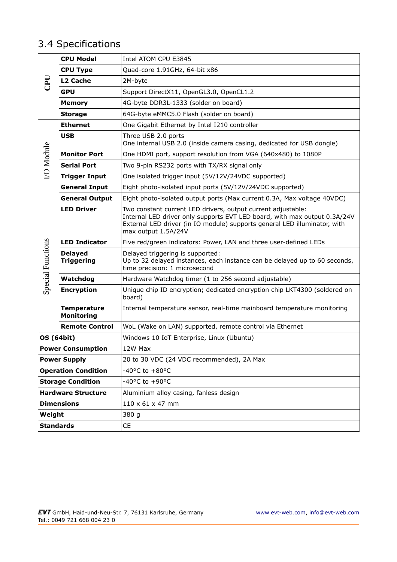# 3.4 Specifications

|                            | <b>CPU Model</b>                        | Intel ATOM CPU E3845                                                                                                                                                                                                                          |  |  |
|----------------------------|-----------------------------------------|-----------------------------------------------------------------------------------------------------------------------------------------------------------------------------------------------------------------------------------------------|--|--|
| <b>Ua</b>                  | <b>CPU Type</b>                         | Quad-core 1.91GHz, 64-bit x86                                                                                                                                                                                                                 |  |  |
|                            | L2 Cache                                | 2M-byte                                                                                                                                                                                                                                       |  |  |
|                            | <b>GPU</b>                              | Support DirectX11, OpenGL3.0, OpenCL1.2                                                                                                                                                                                                       |  |  |
|                            | <b>Memory</b>                           | 4G-byte DDR3L-1333 (solder on board)                                                                                                                                                                                                          |  |  |
|                            | <b>Storage</b>                          | 64G-byte eMMC5.0 Flash (solder on board)                                                                                                                                                                                                      |  |  |
|                            | <b>Ethernet</b>                         | One Gigabit Ethernet by Intel I210 controller                                                                                                                                                                                                 |  |  |
|                            | <b>USB</b>                              | Three USB 2.0 ports<br>One internal USB 2.0 (inside camera casing, dedicated for USB dongle)                                                                                                                                                  |  |  |
|                            | <b>Monitor Port</b>                     | One HDMI port, support resolution from VGA (640x480) to 1080P                                                                                                                                                                                 |  |  |
| I/O Module                 | <b>Serial Port</b>                      | Two 9-pin RS232 ports with TX/RX signal only                                                                                                                                                                                                  |  |  |
|                            | <b>Trigger Input</b>                    | One isolated trigger input (5V/12V/24VDC supported)                                                                                                                                                                                           |  |  |
|                            | <b>General Input</b>                    | Eight photo-isolated input ports (5V/12V/24VDC supported)                                                                                                                                                                                     |  |  |
|                            | <b>General Output</b>                   | Eight photo-isolated output ports (Max current 0.3A, Max voltage 40VDC)                                                                                                                                                                       |  |  |
|                            | <b>LED Driver</b>                       | Two constant current LED drivers, output current adjustable:<br>Internal LED driver only supports EVT LED board, with max output 0.3A/24V<br>External LED driver (in IO module) supports general LED illuminator, with<br>max output 1.5A/24V |  |  |
|                            | <b>LED Indicator</b>                    | Five red/green indicators: Power, LAN and three user-defined LEDs                                                                                                                                                                             |  |  |
| <b>Special Functions</b>   | <b>Delayed</b><br><b>Triggering</b>     | Delayed triggering is supported:<br>Up to 32 delayed instances, each instance can be delayed up to 60 seconds,<br>time precision: 1 microsecond                                                                                               |  |  |
|                            | Watchdog                                | Hardware Watchdog timer (1 to 256 second adjustable)                                                                                                                                                                                          |  |  |
|                            | <b>Encryption</b>                       | Unique chip ID encryption; dedicated encryption chip LKT4300 (soldered on<br>board)                                                                                                                                                           |  |  |
|                            | <b>Temperature</b><br><b>Monitoring</b> | Internal temperature sensor, real-time mainboard temperature monitoring                                                                                                                                                                       |  |  |
|                            | <b>Remote Control</b>                   | WoL (Wake on LAN) supported, remote control via Ethernet                                                                                                                                                                                      |  |  |
| <b>OS (64bit)</b>          |                                         | Windows 10 IoT Enterprise, Linux (Ubuntu)                                                                                                                                                                                                     |  |  |
| <b>Power Consumption</b>   |                                         | 12W Max                                                                                                                                                                                                                                       |  |  |
| <b>Power Supply</b>        |                                         | 20 to 30 VDC (24 VDC recommended), 2A Max                                                                                                                                                                                                     |  |  |
| <b>Operation Condition</b> |                                         | -40°C to +80°C                                                                                                                                                                                                                                |  |  |
| <b>Storage Condition</b>   |                                         | -40°C to +90°C                                                                                                                                                                                                                                |  |  |
| <b>Hardware Structure</b>  |                                         | Aluminium alloy casing, fanless design                                                                                                                                                                                                        |  |  |
| <b>Dimensions</b>          |                                         | 110 x 61 x 47 mm                                                                                                                                                                                                                              |  |  |
| Weight                     |                                         | 380 g                                                                                                                                                                                                                                         |  |  |
| <b>Standards</b>           |                                         | CE                                                                                                                                                                                                                                            |  |  |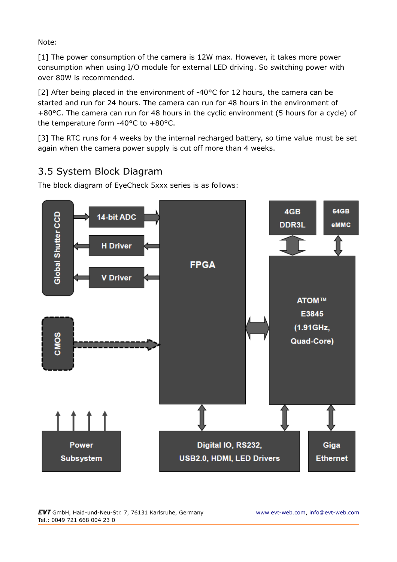Note:

[1] The power consumption of the camera is 12W max. However, it takes more power consumption when using I/O module for external LED driving. So switching power with over 80W is recommended.

[2] After being placed in the environment of -40°C for 12 hours, the camera can be started and run for 24 hours. The camera can run for 48 hours in the environment of +80°C. The camera can run for 48 hours in the cyclic environment (5 hours for a cycle) of the temperature form -40°C to +80°C.

[3] The RTC runs for 4 weeks by the internal recharged battery, so time value must be set again when the camera power supply is cut off more than 4 weeks.

### 3.5 System Block Diagram

The block diagram of EyeCheck 5xxx series is as follows:

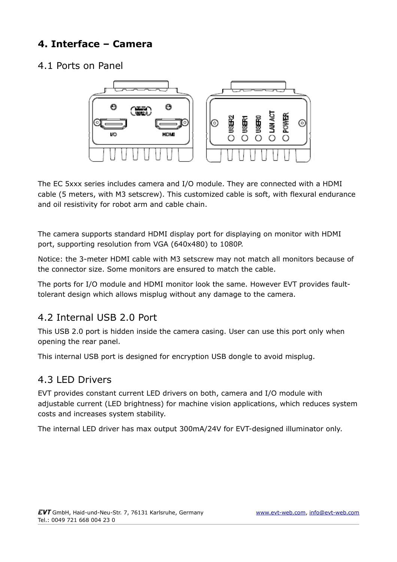# **4. Interface – Camera**

#### 4.1 Ports on Panel



The EC 5xxx series includes camera and I/O module. They are connected with a HDMI cable (5 meters, with M3 setscrew). This customized cable is soft, with flexural endurance and oil resistivity for robot arm and cable chain.

The camera supports standard HDMI display port for displaying on monitor with HDMI port, supporting resolution from VGA (640x480) to 1080P.

Notice: the 3-meter HDMI cable with M3 setscrew may not match all monitors because of the connector size. Some monitors are ensured to match the cable.

The ports for I/O module and HDMI monitor look the same. However EVT provides faulttolerant design which allows misplug without any damage to the camera.

### 4.2 Internal USB 2.0 Port

This USB 2.0 port is hidden inside the camera casing. User can use this port only when opening the rear panel.

This internal USB port is designed for encryption USB dongle to avoid misplug.

#### 4.3 LED Drivers

EVT provides constant current LED drivers on both, camera and I/O module with adjustable current (LED brightness) for machine vision applications, which reduces system costs and increases system stability.

The internal LED driver has max output 300mA/24V for EVT-designed illuminator only.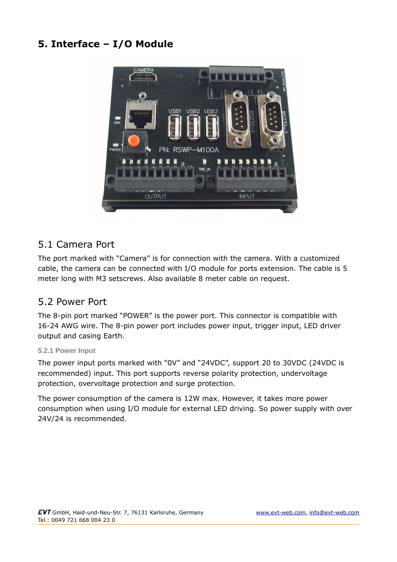### **5. Interface – I/O Module**



#### 5.1 Camera Port

The port marked with "Camera" is for connection with the camera. With a customized cable, the camera can be connected with I/O module for ports extension. The cable is 5 meter long with M3 setscrews. Also available 8 meter cable on request.

#### 5.2 Power Port

The 8-pin port marked "POWER" is the power port. This connector is compatible with 16-24 AWG wire. The 8-pin power port includes power input, trigger input, LED driver output and casing Earth.

#### **5.2.1 Power Input**

The power input ports marked with "0V" and "24VDC", support 20 to 30VDC (24VDC is recommended) input. This port supports reverse polarity protection, undervoltage protection, overvoltage protection and surge protection.

The power consumption of the camera is 12W max. However, it takes more power consumption when using I/O module for external LED driving. So power supply with over 24V/24 is recommended.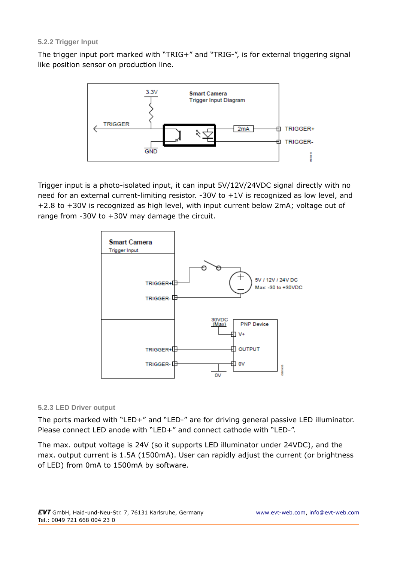#### **5.2.2 Trigger Input**

The trigger input port marked with "TRIG+" and "TRIG-", is for external triggering signal like position sensor on production line.



Trigger input is a photo-isolated input, it can input 5V/12V/24VDC signal directly with no need for an external current-limiting resistor. -30V to +1V is recognized as low level, and +2.8 to +30V is recognized as high level, with input current below 2mA; voltage out of range from -30V to +30V may damage the circuit.



#### **5.2.3 LED Driver output**

The ports marked with "LED+" and "LED-" are for driving general passive LED illuminator. Please connect LED anode with "LED+" and connect cathode with "LED-".

The max. output voltage is 24V (so it supports LED illuminator under 24VDC), and the max. output current is 1.5A (1500mA). User can rapidly adjust the current (or brightness of LED) from 0mA to 1500mA by software.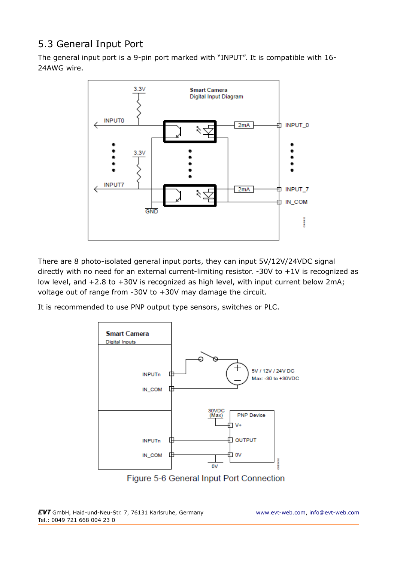## 5.3 General Input Port

The general input port is a 9-pin port marked with "INPUT". It is compatible with 16- 24AWG wire.



There are 8 photo-isolated general input ports, they can input 5V/12V/24VDC signal directly with no need for an external current-limiting resistor.  $-30V$  to  $+1V$  is recognized as low level, and +2.8 to +30V is recognized as high level, with input current below 2mA; voltage out of range from -30V to +30V may damage the circuit.

It is recommended to use PNP output type sensors, switches or PLC.



Figure 5-6 General Input Port Connection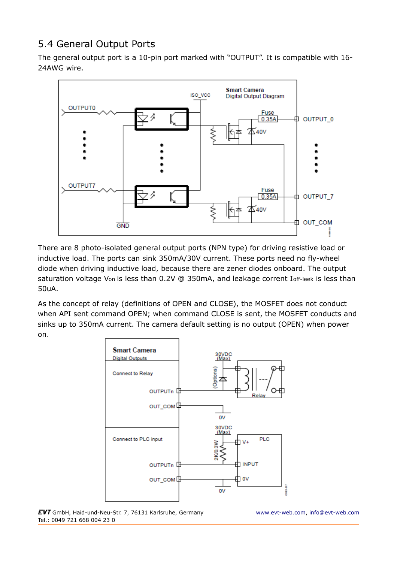### 5.4 General Output Ports

The general output port is a 10-pin port marked with "OUTPUT". It is compatible with 16- 24AWG wire.



There are 8 photo-isolated general output ports (NPN type) for driving resistive load or inductive load. The ports can sink 350mA/30V current. These ports need no fly-wheel diode when driving inductive load, because there are zener diodes onboard. The output saturation voltage Von is less than 0.2V @ 350mA, and leakage corrent Ioff-leek is less than 50uA.

As the concept of relay (definitions of OPEN and CLOSE), the MOSFET does not conduct when API sent command OPEN; when command CLOSE is sent, the MOSFET conducts and sinks up to 350mA current. The camera default setting is no output (OPEN) when power on.



EVT GmbH, Haid-und-Neu-Str. 7, 76131 Karlsruhe, Germany [www.evt-web.com,](http://www.evt-web.com/) [info@evt-web.com](mailto:info@evt-web.com) Tel.: 0049 721 668 004 23 0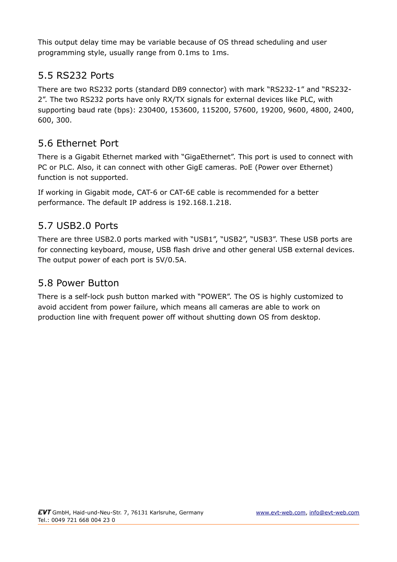This output delay time may be variable because of OS thread scheduling and user programming style, usually range from 0.1ms to 1ms.

### 5.5 RS232 Ports

There are two RS232 ports (standard DB9 connector) with mark "RS232-1" and "RS232- 2". The two RS232 ports have only RX/TX signals for external devices like PLC, with supporting baud rate (bps): 230400, 153600, 115200, 57600, 19200, 9600, 4800, 2400, 600, 300.

### 5.6 Ethernet Port

There is a Gigabit Ethernet marked with "GigaEthernet". This port is used to connect with PC or PLC. Also, it can connect with other GigE cameras. PoE (Power over Ethernet) function is not supported.

If working in Gigabit mode, CAT-6 or CAT-6E cable is recommended for a better performance. The default IP address is 192.168.1.218.

### 5.7 USB2.0 Ports

There are three USB2.0 ports marked with "USB1", "USB2", "USB3". These USB ports are for connecting keyboard, mouse, USB flash drive and other general USB external devices. The output power of each port is 5V/0.5A.

#### 5.8 Power Button

There is a self-lock push button marked with "POWER". The OS is highly customized to avoid accident from power failure, which means all cameras are able to work on production line with frequent power off without shutting down OS from desktop.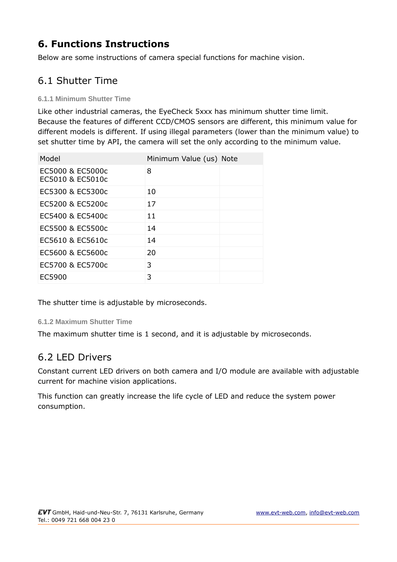# **6. Functions Instructions**

Below are some instructions of camera special functions for machine vision.

# 6.1 Shutter Time

#### **6.1.1 Minimum Shutter Time**

Like other industrial cameras, the EyeCheck 5xxx has minimum shutter time limit. Because the features of different CCD/CMOS sensors are different, this minimum value for different models is different. If using illegal parameters (lower than the minimum value) to set shutter time by API, the camera will set the only according to the minimum value.

| Model                                | Minimum Value (us) Note |  |
|--------------------------------------|-------------------------|--|
| EC5000 & EC5000c<br>EC5010 & EC5010c | 8                       |  |
| EC5300 & EC5300c                     | 10                      |  |
| EC5200 & EC5200c                     | 17                      |  |
| EC5400 & EC5400c                     | 11                      |  |
| EC5500 & EC5500c                     | 14                      |  |
| EC5610 & EC5610c                     | 14                      |  |
| EC5600 & EC5600c                     | 20                      |  |
| EC5700 & EC5700c                     | 3                       |  |
| EC5900                               | 3                       |  |

The shutter time is adjustable by microseconds.

#### **6.1.2 Maximum Shutter Time**

The maximum shutter time is 1 second, and it is adjustable by microseconds.

#### 6.2 LED Drivers

Constant current LED drivers on both camera and I/O module are available with adjustable current for machine vision applications.

This function can greatly increase the life cycle of LED and reduce the system power consumption.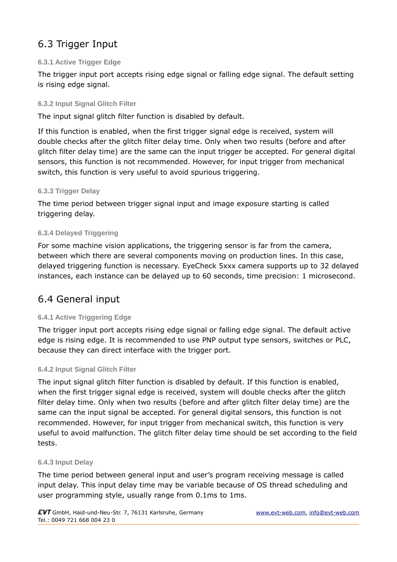# 6.3 Trigger Input

#### **6.3.1 Active Trigger Edge**

The trigger input port accepts rising edge signal or falling edge signal. The default setting is rising edge signal.

#### **6.3.2 Input Signal Glitch Filter**

The input signal glitch filter function is disabled by default.

If this function is enabled, when the first trigger signal edge is received, system will double checks after the glitch filter delay time. Only when two results (before and after glitch filter delay time) are the same can the input trigger be accepted. For general digital sensors, this function is not recommended. However, for input trigger from mechanical switch, this function is very useful to avoid spurious triggering.

#### **6.3.3 Trigger Delay**

The time period between trigger signal input and image exposure starting is called triggering delay.

#### **6.3.4 Delayed Triggering**

For some machine vision applications, the triggering sensor is far from the camera, between which there are several components moving on production lines. In this case, delayed triggering function is necessary. EyeCheck 5xxx camera supports up to 32 delayed instances, each instance can be delayed up to 60 seconds, time precision: 1 microsecond.

### 6.4 General input

#### **6.4.1 Active Triggering Edge**

The trigger input port accepts rising edge signal or falling edge signal. The default active edge is rising edge. It is recommended to use PNP output type sensors, switches or PLC, because they can direct interface with the trigger port.

#### **6.4.2 Input Signal Glitch Filter**

The input signal glitch filter function is disabled by default. If this function is enabled, when the first trigger signal edge is received, system will double checks after the glitch filter delay time. Only when two results (before and after glitch filter delay time) are the same can the input signal be accepted. For general digital sensors, this function is not recommended. However, for input trigger from mechanical switch, this function is very useful to avoid malfunction. The glitch filter delay time should be set according to the field tests.

#### **6.4.3 Input Delay**

The time period between general input and user's program receiving message is called input delay. This input delay time may be variable because of OS thread scheduling and user programming style, usually range from 0.1ms to 1ms.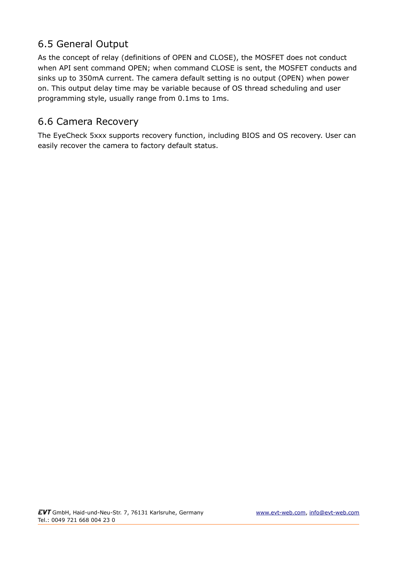### 6.5 General Output

As the concept of relay (definitions of OPEN and CLOSE), the MOSFET does not conduct when API sent command OPEN; when command CLOSE is sent, the MOSFET conducts and sinks up to 350mA current. The camera default setting is no output (OPEN) when power on. This output delay time may be variable because of OS thread scheduling and user programming style, usually range from 0.1ms to 1ms.

#### 6.6 Camera Recovery

The EyeCheck 5xxx supports recovery function, including BIOS and OS recovery. User can easily recover the camera to factory default status.